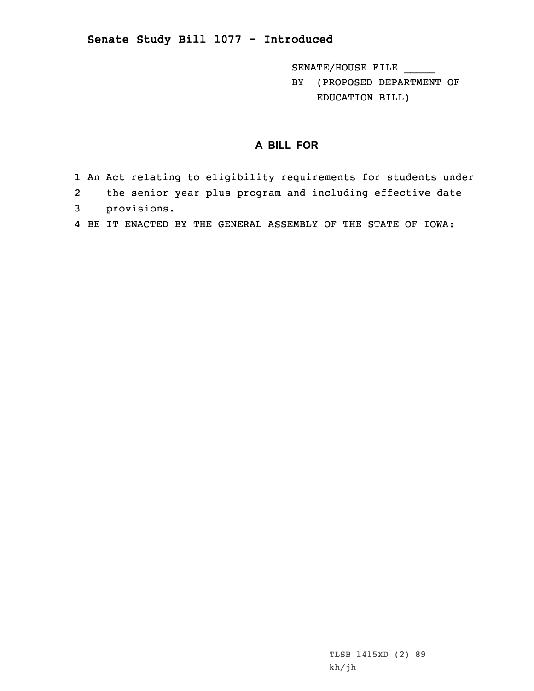## **Senate Study Bill 1077 - Introduced**

SENATE/HOUSE FILE \_\_\_\_\_ BY (PROPOSED DEPARTMENT OF EDUCATION BILL)

## **A BILL FOR**

- 1 An Act relating to eligibility requirements for students under
- 2the senior year plus program and including effective date
- 3 provisions.
- 4 BE IT ENACTED BY THE GENERAL ASSEMBLY OF THE STATE OF IOWA: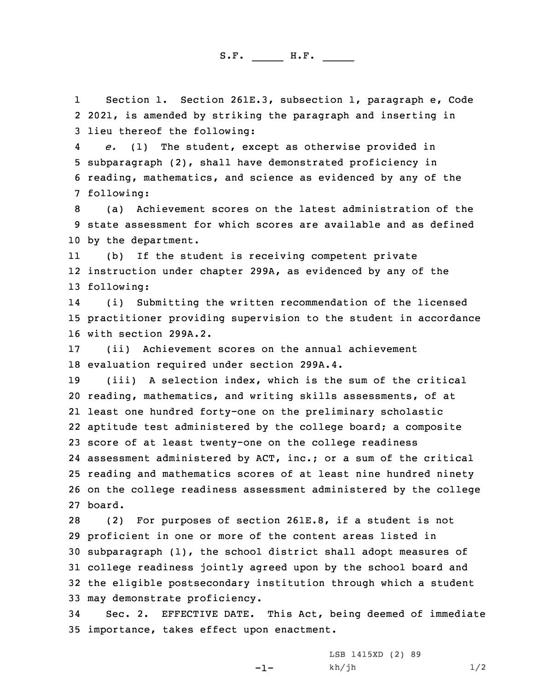S.F. \_\_\_\_\_ H.F. \_\_\_\_

1 Section 1. Section 261E.3, subsection 1, paragraph e, Code 2 2021, is amended by striking the paragraph and inserting in 3 lieu thereof the following:

4 *e.* (1) The student, except as otherwise provided in 5 subparagraph (2), shall have demonstrated proficiency in 6 reading, mathematics, and science as evidenced by any of the 7 following:

8 (a) Achievement scores on the latest administration of the 9 state assessment for which scores are available and as defined 10 by the department.

11 (b) If the student is receiving competent private 12 instruction under chapter 299A, as evidenced by any of the 13 following:

14 (i) Submitting the written recommendation of the licensed 15 practitioner providing supervision to the student in accordance 16 with section 299A.2.

17 (ii) Achievement scores on the annual achievement 18 evaluation required under section 299A.4.

 (iii) <sup>A</sup> selection index, which is the sum of the critical reading, mathematics, and writing skills assessments, of at least one hundred forty-one on the preliminary scholastic aptitude test administered by the college board; <sup>a</sup> composite score of at least twenty-one on the college readiness assessment administered by ACT, inc.; or <sup>a</sup> sum of the critical reading and mathematics scores of at least nine hundred ninety on the college readiness assessment administered by the college 27 board.

 (2) For purposes of section 261E.8, if <sup>a</sup> student is not proficient in one or more of the content areas listed in subparagraph (1), the school district shall adopt measures of college readiness jointly agreed upon by the school board and the eligible postsecondary institution through which <sup>a</sup> student may demonstrate proficiency.

34 Sec. 2. EFFECTIVE DATE. This Act, being deemed of immediate 35 importance, takes effect upon enactment.

 $-1-$ 

LSB 1415XD (2) 89  $kh/jh$   $1/2$